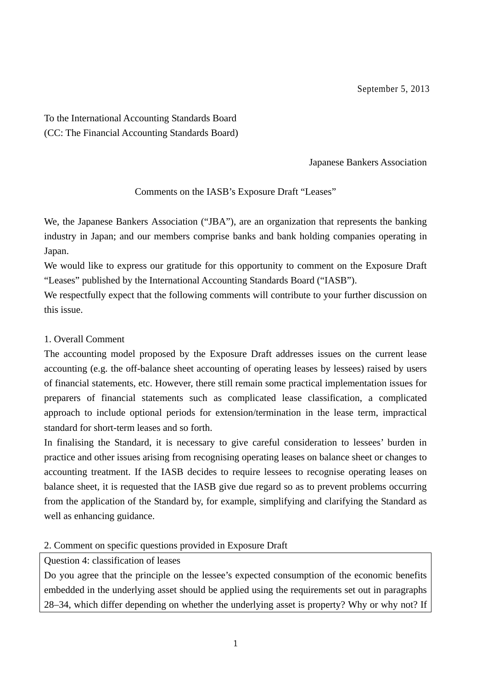# To the International Accounting Standards Board (CC: The Financial Accounting Standards Board)

Japanese Bankers Association

Comments on the IASB's Exposure Draft "Leases"

We, the Japanese Bankers Association ("JBA"), are an organization that represents the banking industry in Japan; and our members comprise banks and bank holding companies operating in Japan.

We would like to express our gratitude for this opportunity to comment on the Exposure Draft "Leases" published by the International Accounting Standards Board ("IASB").

We respectfully expect that the following comments will contribute to your further discussion on this issue.

# 1. Overall Comment

The accounting model proposed by the Exposure Draft addresses issues on the current lease accounting (e.g. the off-balance sheet accounting of operating leases by lessees) raised by users of financial statements, etc. However, there still remain some practical implementation issues for preparers of financial statements such as complicated lease classification, a complicated approach to include optional periods for extension/termination in the lease term, impractical standard for short-term leases and so forth.

In finalising the Standard, it is necessary to give careful consideration to lessees' burden in practice and other issues arising from recognising operating leases on balance sheet or changes to accounting treatment. If the IASB decides to require lessees to recognise operating leases on balance sheet, it is requested that the IASB give due regard so as to prevent problems occurring from the application of the Standard by, for example, simplifying and clarifying the Standard as well as enhancing guidance.

2. Comment on specific questions provided in Exposure Draft

Question 4: classification of leases

Do you agree that the principle on the lessee's expected consumption of the economic benefits embedded in the underlying asset should be applied using the requirements set out in paragraphs 28–34, which differ depending on whether the underlying asset is property? Why or why not? If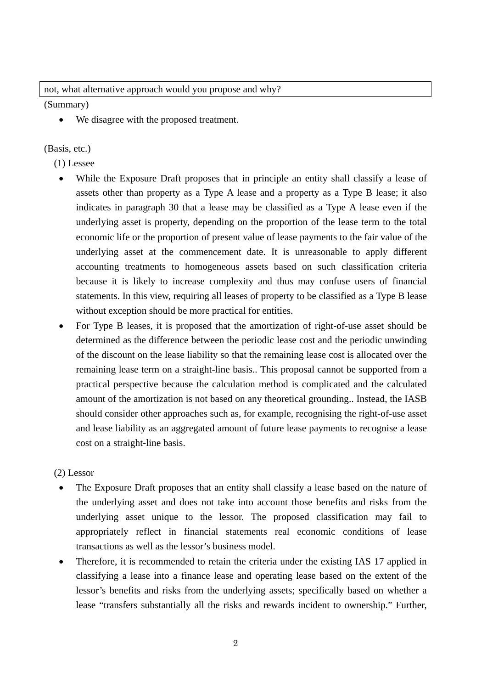#### not, what alternative approach would you propose and why?

#### (Summary)

We disagree with the proposed treatment.

## (Basis, etc.)

(1) Lessee

- While the Exposure Draft proposes that in principle an entity shall classify a lease of assets other than property as a Type A lease and a property as a Type B lease; it also indicates in paragraph 30 that a lease may be classified as a Type A lease even if the underlying asset is property, depending on the proportion of the lease term to the total economic life or the proportion of present value of lease payments to the fair value of the underlying asset at the commencement date. It is unreasonable to apply different accounting treatments to homogeneous assets based on such classification criteria because it is likely to increase complexity and thus may confuse users of financial statements. In this view, requiring all leases of property to be classified as a Type B lease without exception should be more practical for entities.
- For Type B leases, it is proposed that the amortization of right-of-use asset should be determined as the difference between the periodic lease cost and the periodic unwinding of the discount on the lease liability so that the remaining lease cost is allocated over the remaining lease term on a straight-line basis.. This proposal cannot be supported from a practical perspective because the calculation method is complicated and the calculated amount of the amortization is not based on any theoretical grounding.. Instead, the IASB should consider other approaches such as, for example, recognising the right-of-use asset and lease liability as an aggregated amount of future lease payments to recognise a lease cost on a straight-line basis.

## (2) Lessor

- The Exposure Draft proposes that an entity shall classify a lease based on the nature of the underlying asset and does not take into account those benefits and risks from the underlying asset unique to the lessor. The proposed classification may fail to appropriately reflect in financial statements real economic conditions of lease transactions as well as the lessor's business model.
- Therefore, it is recommended to retain the criteria under the existing IAS 17 applied in classifying a lease into a finance lease and operating lease based on the extent of the lessor's benefits and risks from the underlying assets; specifically based on whether a lease "transfers substantially all the risks and rewards incident to ownership." Further,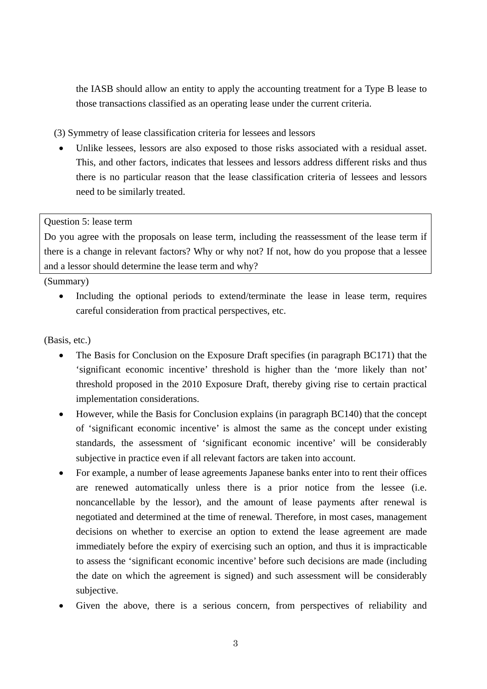the IASB should allow an entity to apply the accounting treatment for a Type B lease to those transactions classified as an operating lease under the current criteria.

(3) Symmetry of lease classification criteria for lessees and lessors

 Unlike lessees, lessors are also exposed to those risks associated with a residual asset. This, and other factors, indicates that lessees and lessors address different risks and thus there is no particular reason that the lease classification criteria of lessees and lessors need to be similarly treated.

Question 5: lease term

Do you agree with the proposals on lease term, including the reassessment of the lease term if there is a change in relevant factors? Why or why not? If not, how do you propose that a lessee and a lessor should determine the lease term and why?

(Summary)

• Including the optional periods to extend/terminate the lease in lease term, requires careful consideration from practical perspectives, etc.

# (Basis, etc.)

- The Basis for Conclusion on the Exposure Draft specifies (in paragraph BC171) that the 'significant economic incentive' threshold is higher than the 'more likely than not' threshold proposed in the 2010 Exposure Draft, thereby giving rise to certain practical implementation considerations.
- However, while the Basis for Conclusion explains (in paragraph BC140) that the concept of 'significant economic incentive' is almost the same as the concept under existing standards, the assessment of 'significant economic incentive' will be considerably subjective in practice even if all relevant factors are taken into account.
- For example, a number of lease agreements Japanese banks enter into to rent their offices are renewed automatically unless there is a prior notice from the lessee (i.e. noncancellable by the lessor), and the amount of lease payments after renewal is negotiated and determined at the time of renewal. Therefore, in most cases, management decisions on whether to exercise an option to extend the lease agreement are made immediately before the expiry of exercising such an option, and thus it is impracticable to assess the 'significant economic incentive' before such decisions are made (including the date on which the agreement is signed) and such assessment will be considerably subjective.
- Given the above, there is a serious concern, from perspectives of reliability and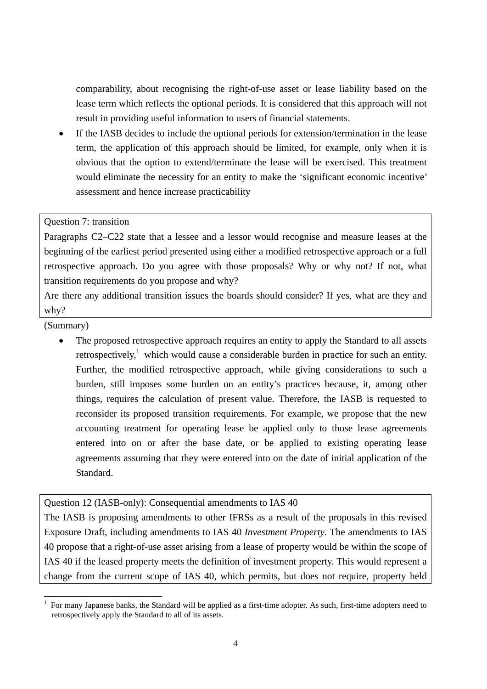comparability, about recognising the right-of-use asset or lease liability based on the lease term which reflects the optional periods. It is considered that this approach will not result in providing useful information to users of financial statements.

 If the IASB decides to include the optional periods for extension/termination in the lease term, the application of this approach should be limited, for example, only when it is obvious that the option to extend/terminate the lease will be exercised. This treatment would eliminate the necessity for an entity to make the 'significant economic incentive' assessment and hence increase practicability

## Question 7: transition

Paragraphs C2–C22 state that a lessee and a lessor would recognise and measure leases at the beginning of the earliest period presented using either a modified retrospective approach or a full retrospective approach. Do you agree with those proposals? Why or why not? If not, what transition requirements do you propose and why?

Are there any additional transition issues the boards should consider? If yes, what are they and why?

(Summary)

-

 The proposed retrospective approach requires an entity to apply the Standard to all assets retrospectively,<sup>1</sup> which would cause a considerable burden in practice for such an entity. Further, the modified retrospective approach, while giving considerations to such a burden, still imposes some burden on an entity's practices because, it, among other things, requires the calculation of present value. Therefore, the IASB is requested to reconsider its proposed transition requirements. For example, we propose that the new accounting treatment for operating lease be applied only to those lease agreements entered into on or after the base date, or be applied to existing operating lease agreements assuming that they were entered into on the date of initial application of the Standard.

Question 12 (IASB-only): Consequential amendments to IAS 40

The IASB is proposing amendments to other IFRSs as a result of the proposals in this revised Exposure Draft, including amendments to IAS 40 *Investment Property*. The amendments to IAS 40 propose that a right-of-use asset arising from a lease of property would be within the scope of IAS 40 if the leased property meets the definition of investment property. This would represent a change from the current scope of IAS 40, which permits, but does not require, property held

<sup>1</sup> For many Japanese banks, the Standard will be applied as a first-time adopter. As such, first-time adopters need to retrospectively apply the Standard to all of its assets.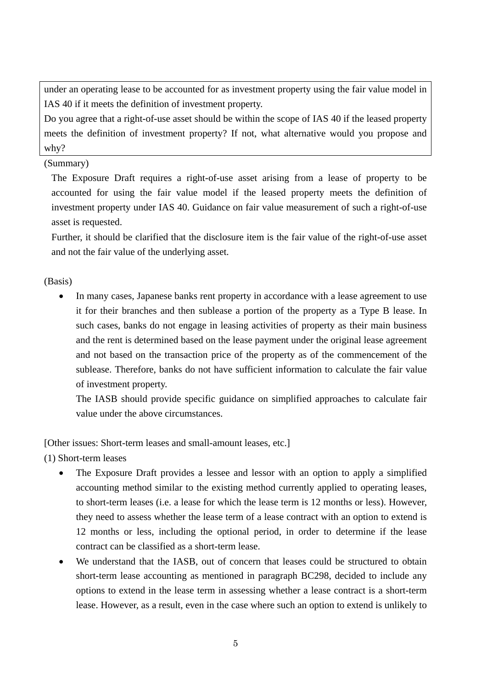under an operating lease to be accounted for as investment property using the fair value model in IAS 40 if it meets the definition of investment property.

Do you agree that a right-of-use asset should be within the scope of IAS 40 if the leased property meets the definition of investment property? If not, what alternative would you propose and why?

#### (Summary)

The Exposure Draft requires a right-of-use asset arising from a lease of property to be accounted for using the fair value model if the leased property meets the definition of investment property under IAS 40. Guidance on fair value measurement of such a right-of-use asset is requested.

Further, it should be clarified that the disclosure item is the fair value of the right-of-use asset and not the fair value of the underlying asset.

#### (Basis)

 In many cases, Japanese banks rent property in accordance with a lease agreement to use it for their branches and then sublease a portion of the property as a Type B lease. In such cases, banks do not engage in leasing activities of property as their main business and the rent is determined based on the lease payment under the original lease agreement and not based on the transaction price of the property as of the commencement of the sublease. Therefore, banks do not have sufficient information to calculate the fair value of investment property.

The IASB should provide specific guidance on simplified approaches to calculate fair value under the above circumstances.

[Other issues: Short-term leases and small-amount leases, etc.]

(1) Short-term leases

- The Exposure Draft provides a lessee and lessor with an option to apply a simplified accounting method similar to the existing method currently applied to operating leases, to short-term leases (i.e. a lease for which the lease term is 12 months or less). However, they need to assess whether the lease term of a lease contract with an option to extend is 12 months or less, including the optional period, in order to determine if the lease contract can be classified as a short-term lease.
- We understand that the IASB, out of concern that leases could be structured to obtain short-term lease accounting as mentioned in paragraph BC298, decided to include any options to extend in the lease term in assessing whether a lease contract is a short-term lease. However, as a result, even in the case where such an option to extend is unlikely to